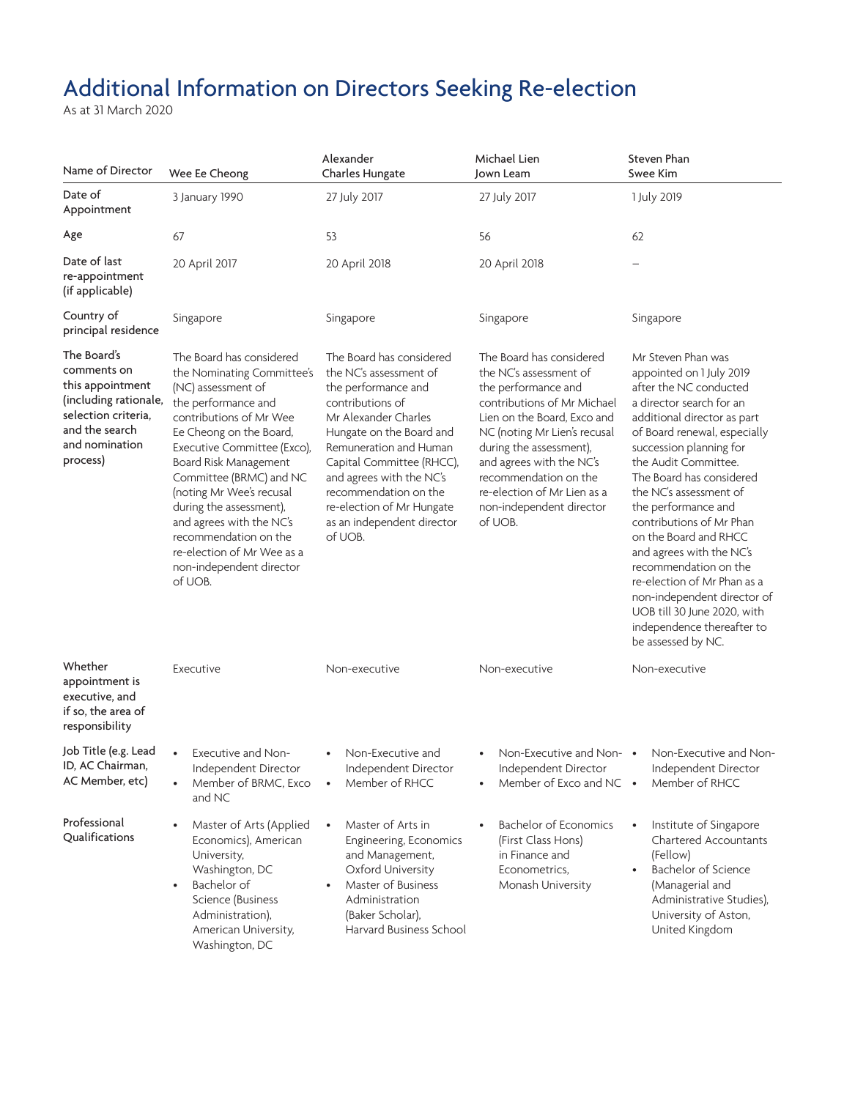## Additional Information on Directors Seeking Re-election

As at 31 March 2020

| Name of Director                                                                                                                               | Wee Ee Cheong                                                                                                                                                                                                                                                                                                                                                                                                                 | Alexander<br>Charles Hungate                                                                                                                                                                                                                                                                                                        | Michael Lien<br>Jown Leam                                                                                                                                                                                                                                                                                                     | Steven Phan<br>Swee Kim                                                                                                                                                                                                                                                                                                                                                                                                                                                                                                                                        |
|------------------------------------------------------------------------------------------------------------------------------------------------|-------------------------------------------------------------------------------------------------------------------------------------------------------------------------------------------------------------------------------------------------------------------------------------------------------------------------------------------------------------------------------------------------------------------------------|-------------------------------------------------------------------------------------------------------------------------------------------------------------------------------------------------------------------------------------------------------------------------------------------------------------------------------------|-------------------------------------------------------------------------------------------------------------------------------------------------------------------------------------------------------------------------------------------------------------------------------------------------------------------------------|----------------------------------------------------------------------------------------------------------------------------------------------------------------------------------------------------------------------------------------------------------------------------------------------------------------------------------------------------------------------------------------------------------------------------------------------------------------------------------------------------------------------------------------------------------------|
| Date of<br>Appointment                                                                                                                         | 3 January 1990                                                                                                                                                                                                                                                                                                                                                                                                                | 27 July 2017                                                                                                                                                                                                                                                                                                                        | 27 July 2017                                                                                                                                                                                                                                                                                                                  | 1 July 2019                                                                                                                                                                                                                                                                                                                                                                                                                                                                                                                                                    |
| Age                                                                                                                                            | 67                                                                                                                                                                                                                                                                                                                                                                                                                            | 53                                                                                                                                                                                                                                                                                                                                  | 56                                                                                                                                                                                                                                                                                                                            | 62                                                                                                                                                                                                                                                                                                                                                                                                                                                                                                                                                             |
| Date of last<br>re-appointment<br>(if applicable)                                                                                              | 20 April 2017                                                                                                                                                                                                                                                                                                                                                                                                                 | 20 April 2018                                                                                                                                                                                                                                                                                                                       | 20 April 2018                                                                                                                                                                                                                                                                                                                 |                                                                                                                                                                                                                                                                                                                                                                                                                                                                                                                                                                |
| Country of<br>principal residence                                                                                                              | Singapore                                                                                                                                                                                                                                                                                                                                                                                                                     | Singapore                                                                                                                                                                                                                                                                                                                           | Singapore                                                                                                                                                                                                                                                                                                                     | Singapore                                                                                                                                                                                                                                                                                                                                                                                                                                                                                                                                                      |
| The Board's<br>comments on<br>this appointment<br>(including rationale,<br>selection criteria,<br>and the search<br>and nomination<br>process) | The Board has considered<br>the Nominating Committee's<br>(NC) assessment of<br>the performance and<br>contributions of Mr Wee<br>Ee Cheong on the Board,<br>Executive Committee (Exco),<br>Board Risk Management<br>Committee (BRMC) and NC<br>(noting Mr Wee's recusal<br>during the assessment),<br>and agrees with the NC's<br>recommendation on the<br>re-election of Mr Wee as a<br>non-independent director<br>of UOB. | The Board has considered<br>the NC's assessment of<br>the performance and<br>contributions of<br>Mr Alexander Charles<br>Hungate on the Board and<br>Remuneration and Human<br>Capital Committee (RHCC),<br>and agrees with the NC's<br>recommendation on the<br>re-election of Mr Hungate<br>as an independent director<br>of UOB. | The Board has considered<br>the NC's assessment of<br>the performance and<br>contributions of Mr Michael<br>Lien on the Board, Exco and<br>NC (noting Mr Lien's recusal<br>during the assessment),<br>and agrees with the NC's<br>recommendation on the<br>re-election of Mr Lien as a<br>non-independent director<br>of UOB. | Mr Steven Phan was<br>appointed on 1 July 2019<br>after the NC conducted<br>a director search for an<br>additional director as part<br>of Board renewal, especially<br>succession planning for<br>the Audit Committee.<br>The Board has considered<br>the NC's assessment of<br>the performance and<br>contributions of Mr Phan<br>on the Board and RHCC<br>and agrees with the NC's<br>recommendation on the<br>re-election of Mr Phan as a<br>non-independent director of<br>UOB till 30 June 2020, with<br>independence thereafter to<br>be assessed by NC. |
| Whether<br>appointment is<br>executive, and<br>if so, the area of<br>responsibility                                                            | Executive                                                                                                                                                                                                                                                                                                                                                                                                                     | Non-executive                                                                                                                                                                                                                                                                                                                       | Non-executive                                                                                                                                                                                                                                                                                                                 | Non-executive                                                                                                                                                                                                                                                                                                                                                                                                                                                                                                                                                  |
| Job Title (e.g. Lead<br>ID, AC Chairman,<br>AC Member, etc)                                                                                    | Executive and Non-<br>Independent Director<br>Member of BRMC, Exco<br>and NC                                                                                                                                                                                                                                                                                                                                                  | Non-Executive and<br>Independent Director<br>Member of RHCC                                                                                                                                                                                                                                                                         | Non-Executive and Non- •<br>Independent Director<br>Member of Exco and NC •                                                                                                                                                                                                                                                   | Non-Executive and Non-<br>Independent Director<br>Member of RHCC                                                                                                                                                                                                                                                                                                                                                                                                                                                                                               |
| Professional<br>Qualifications                                                                                                                 | Master of Arts (Applied<br>Economics), American<br>University,<br>Washington, DC<br>Bachelor of<br>Science (Business<br>Administration),<br>American University,<br>Washington, DC                                                                                                                                                                                                                                            | Master of Arts in<br>Engineering, Economics<br>and Management,<br>Oxford University<br>Master of Business<br>Administration<br>(Baker Scholar),<br>Harvard Business School                                                                                                                                                          | <b>Bachelor of Economics</b><br>(First Class Hons)<br>in Finance and<br>Econometrics,<br>Monash University                                                                                                                                                                                                                    | Institute of Singapore<br>$\bullet$<br><b>Chartered Accountants</b><br>(Fellow)<br><b>Bachelor of Science</b><br>(Managerial and<br>Administrative Studies),<br>University of Aston,<br>United Kingdom                                                                                                                                                                                                                                                                                                                                                         |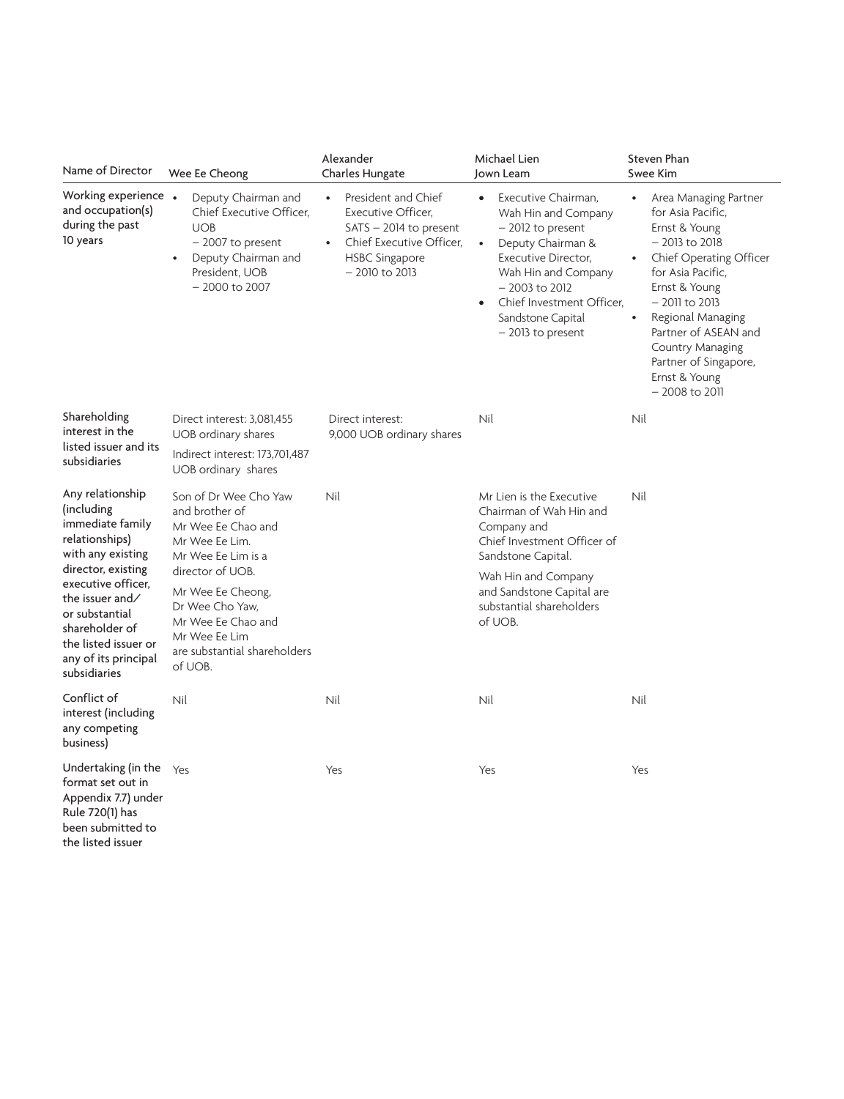| Name of Director                                                                                                                                                                                                                                             | Wee Ee Cheong                                                                                                                                                                                                                                       | Alexander<br>Charles Hungate                                                                                                                                            | Michael Lien<br>Jown Leam                                                                                                                                                                                                                                | Steven Phan<br>Swee Kim                                                                                                                                                                                                                                                                                                               |
|--------------------------------------------------------------------------------------------------------------------------------------------------------------------------------------------------------------------------------------------------------------|-----------------------------------------------------------------------------------------------------------------------------------------------------------------------------------------------------------------------------------------------------|-------------------------------------------------------------------------------------------------------------------------------------------------------------------------|----------------------------------------------------------------------------------------------------------------------------------------------------------------------------------------------------------------------------------------------------------|---------------------------------------------------------------------------------------------------------------------------------------------------------------------------------------------------------------------------------------------------------------------------------------------------------------------------------------|
| Working experience .<br>and occupation(s)<br>during the past<br>10 years                                                                                                                                                                                     | Deputy Chairman and<br>Chief Executive Officer.<br><b>UOB</b><br>$-2007$ to present<br>Deputy Chairman and<br>President, UOB<br>$-2000$ to 2007                                                                                                     | President and Chief<br>$\bullet$<br>Executive Officer,<br>$SATS - 2014$ to present<br>Chief Executive Officer,<br>$\bullet$<br><b>HSBC Singapore</b><br>$-2010$ to 2013 | Executive Chairman,<br>$\bullet$<br>Wah Hin and Company<br>- 2012 to present<br>Deputy Chairman &<br>$\bullet$<br>Executive Director,<br>Wah Hin and Company<br>$-2003$ to $2012$<br>Chief Investment Officer.<br>Sandstone Capital<br>- 2013 to present | Area Managing Partner<br>$\bullet$<br>for Asia Pacific.<br>Ernst & Young<br>$-2013$ to $2018$<br>Chief Operating Officer<br>for Asia Pacific,<br>Ernst & Young<br>$-2011$ to $2013$<br>Regional Managing<br>$\bullet$<br>Partner of ASEAN and<br><b>Country Managing</b><br>Partner of Singapore,<br>Ernst & Young<br>$-2008$ to 2011 |
| Shareholding<br>interest in the<br>listed issuer and its<br>subsidiaries                                                                                                                                                                                     | Direct interest: 3,081,455<br>UOB ordinary shares<br>Indirect interest: 173,701,487<br>UOB ordinary shares                                                                                                                                          | Direct interest:<br>9,000 UOB ordinary shares                                                                                                                           | Nil                                                                                                                                                                                                                                                      | Nil                                                                                                                                                                                                                                                                                                                                   |
| Any relationship<br>(including<br>immediate family<br>relationships)<br>with any existing<br>director, existing<br>executive officer,<br>the issuer and/<br>or substantial<br>shareholder of<br>the listed issuer or<br>any of its principal<br>subsidiaries | Son of Dr Wee Cho Yaw<br>and brother of<br>Mr Wee Ee Chao and<br>Mr Wee Ee Lim.<br>Mr Wee Ee Lim is a<br>director of UOB.<br>Mr Wee Ee Cheong,<br>Dr Wee Cho Yaw.<br>Mr Wee Ee Chao and<br>Mr Wee Ee Lim<br>are substantial shareholders<br>of UOB. | Nil                                                                                                                                                                     | Mr Lien is the Executive<br>Chairman of Wah Hin and<br>Company and<br>Chief Investment Officer of<br>Sandstone Capital.<br>Wah Hin and Company<br>and Sandstone Capital are<br>substantial shareholders<br>of UOB.                                       | Nil                                                                                                                                                                                                                                                                                                                                   |
| Conflict of<br>interest (including<br>any competing<br>business)                                                                                                                                                                                             | Nil                                                                                                                                                                                                                                                 | Nil                                                                                                                                                                     | Nil                                                                                                                                                                                                                                                      | Nil                                                                                                                                                                                                                                                                                                                                   |
| Undertaking (in the<br>format set out in<br>Appendix 7.7) under<br>Rule 720(1) has<br>been submitted to<br>the listed issuer                                                                                                                                 | Yes                                                                                                                                                                                                                                                 | Yes                                                                                                                                                                     | Yes                                                                                                                                                                                                                                                      | Yes                                                                                                                                                                                                                                                                                                                                   |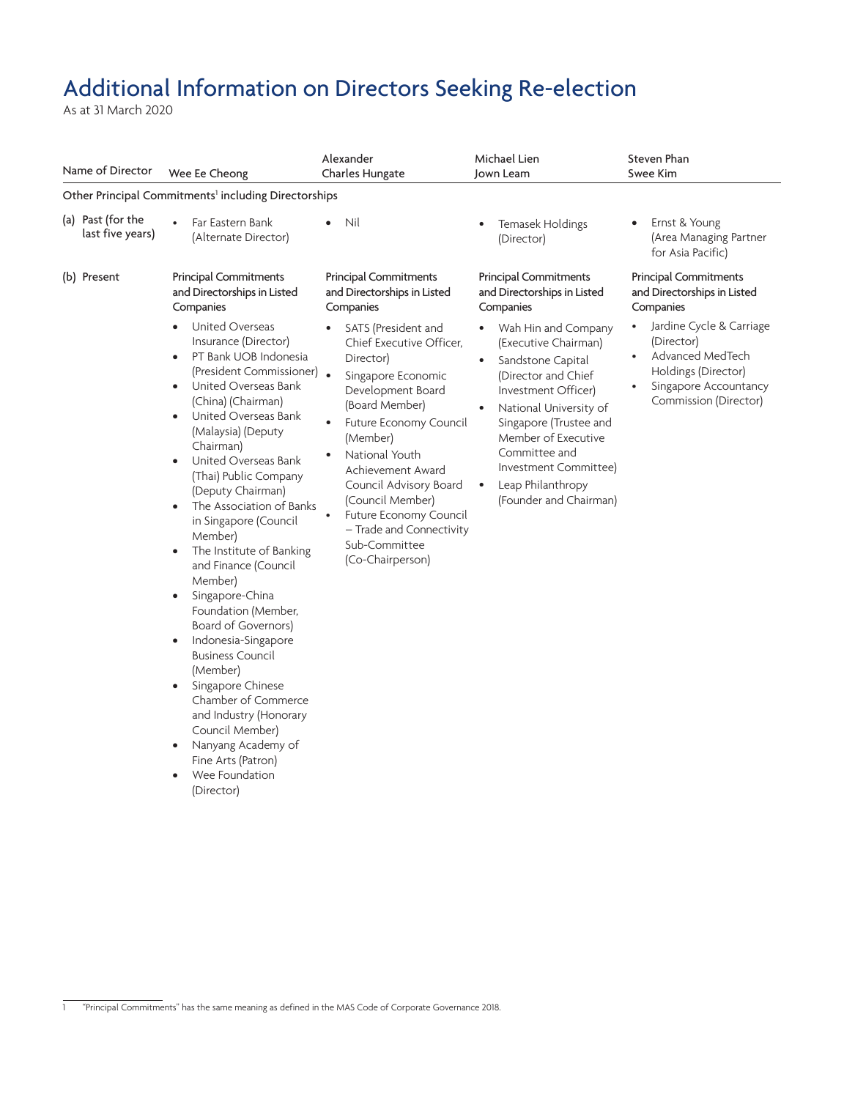## Additional Information on Directors Seeking Re-election

As at 31 March 2020

| Name of Director                                                 | Wee Ee Cheong                                                                                                                                                                                                                                                                                                                                                                                                                                                                                                                                                                                                                                                                                                                                                                          | Alexander<br>Charles Hungate                                                                                                                                                                                                                                                                                                                    | Michael Lien<br>Jown Leam                                                                                                                                                                                                                                                                                                 | Steven Phan<br>Swee Kim                                                                                                             |  |  |  |
|------------------------------------------------------------------|----------------------------------------------------------------------------------------------------------------------------------------------------------------------------------------------------------------------------------------------------------------------------------------------------------------------------------------------------------------------------------------------------------------------------------------------------------------------------------------------------------------------------------------------------------------------------------------------------------------------------------------------------------------------------------------------------------------------------------------------------------------------------------------|-------------------------------------------------------------------------------------------------------------------------------------------------------------------------------------------------------------------------------------------------------------------------------------------------------------------------------------------------|---------------------------------------------------------------------------------------------------------------------------------------------------------------------------------------------------------------------------------------------------------------------------------------------------------------------------|-------------------------------------------------------------------------------------------------------------------------------------|--|--|--|
| Other Principal Commitments <sup>1</sup> including Directorships |                                                                                                                                                                                                                                                                                                                                                                                                                                                                                                                                                                                                                                                                                                                                                                                        |                                                                                                                                                                                                                                                                                                                                                 |                                                                                                                                                                                                                                                                                                                           |                                                                                                                                     |  |  |  |
| (a) Past (for the<br>last five years)                            | Far Eastern Bank<br>(Alternate Director)                                                                                                                                                                                                                                                                                                                                                                                                                                                                                                                                                                                                                                                                                                                                               | Nil                                                                                                                                                                                                                                                                                                                                             | Temasek Holdings<br>$\bullet$<br>(Director)                                                                                                                                                                                                                                                                               | Ernst & Young<br>(Area Managing Partner<br>for Asia Pacific)                                                                        |  |  |  |
| (b) Present                                                      | <b>Principal Commitments</b><br>and Directorships in Listed<br>Companies                                                                                                                                                                                                                                                                                                                                                                                                                                                                                                                                                                                                                                                                                                               | <b>Principal Commitments</b><br>and Directorships in Listed<br>Companies                                                                                                                                                                                                                                                                        | <b>Principal Commitments</b><br>and Directorships in Listed<br>Companies                                                                                                                                                                                                                                                  | <b>Principal Commitments</b><br>and Directorships in Listed<br>Companies                                                            |  |  |  |
|                                                                  | United Overseas<br>Insurance (Director)<br>PT Bank UOB Indonesia<br>$\bullet$<br>(President Commissioner) .<br>United Overseas Bank<br>٠<br>(China) (Chairman)<br>United Overseas Bank<br>(Malaysia) (Deputy<br>Chairman)<br>United Overseas Bank<br>$\bullet$<br>(Thai) Public Company<br>(Deputy Chairman)<br>The Association of Banks<br>in Singapore (Council<br>Member)<br>The Institute of Banking<br>and Finance (Council<br>Member)<br>Singapore-China<br>$\bullet$<br>Foundation (Member,<br>Board of Governors)<br>Indonesia-Singapore<br>$\bullet$<br><b>Business Council</b><br>(Member)<br>Singapore Chinese<br>$\bullet$<br>Chamber of Commerce<br>and Industry (Honorary<br>Council Member)<br>Nanyang Academy of<br>Fine Arts (Patron)<br>Wee Foundation<br>(Director) | SATS (President and<br>Chief Executive Officer.<br>Director)<br>Singapore Economic<br>Development Board<br>(Board Member)<br>Future Economy Council<br>(Member)<br>National Youth<br>Achievement Award<br>Council Advisory Board<br>(Council Member)<br>Future Economy Council<br>- Trade and Connectivity<br>Sub-Committee<br>(Co-Chairperson) | Wah Hin and Company<br>$\bullet$<br>(Executive Chairman)<br>Sandstone Capital<br>$\bullet$<br>(Director and Chief<br>Investment Officer)<br>National University of<br>Singapore (Trustee and<br>Member of Executive<br>Committee and<br>Investment Committee)<br>Leap Philanthropy<br>$\bullet$<br>(Founder and Chairman) | Jardine Cycle & Carriage<br>(Director)<br>Advanced MedTech<br>Holdings (Director)<br>Singapore Accountancy<br>Commission (Director) |  |  |  |

<sup>1</sup> "Principal Commitments" has the same meaning as defined in the MAS Code of Corporate Governance 2018.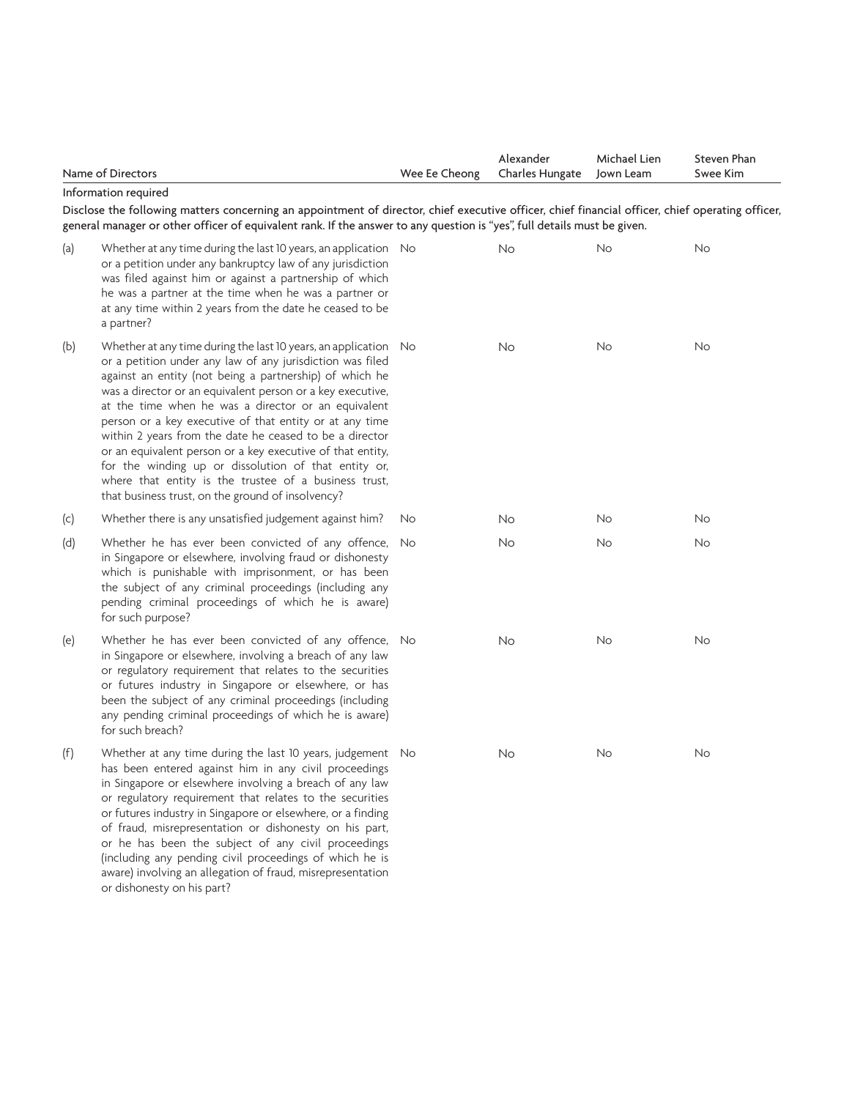|     | Name of Directors                                                                                                                                                                                                                                                                                                                                                                                                                                                                                                                                                                                                                                                      | Wee Ee Cheong | Alexander<br>Charles Hungate | Michael Lien<br>Jown Leam | Steven Phan<br>Swee Kim |
|-----|------------------------------------------------------------------------------------------------------------------------------------------------------------------------------------------------------------------------------------------------------------------------------------------------------------------------------------------------------------------------------------------------------------------------------------------------------------------------------------------------------------------------------------------------------------------------------------------------------------------------------------------------------------------------|---------------|------------------------------|---------------------------|-------------------------|
|     | Information required<br>Disclose the following matters concerning an appointment of director, chief executive officer, chief financial officer, chief operating officer,<br>general manager or other officer of equivalent rank. If the answer to any question is "yes", full details must be given.                                                                                                                                                                                                                                                                                                                                                                   |               |                              |                           |                         |
| (a) | Whether at any time during the last 10 years, an application No<br>or a petition under any bankruptcy law of any jurisdiction<br>was filed against him or against a partnership of which<br>he was a partner at the time when he was a partner or<br>at any time within 2 years from the date he ceased to be<br>a partner?                                                                                                                                                                                                                                                                                                                                            |               | <b>No</b>                    | No                        | No                      |
| (b) | Whether at any time during the last 10 years, an application No<br>or a petition under any law of any jurisdiction was filed<br>against an entity (not being a partnership) of which he<br>was a director or an equivalent person or a key executive,<br>at the time when he was a director or an equivalent<br>person or a key executive of that entity or at any time<br>within 2 years from the date he ceased to be a director<br>or an equivalent person or a key executive of that entity,<br>for the winding up or dissolution of that entity or,<br>where that entity is the trustee of a business trust,<br>that business trust, on the ground of insolvency? |               | <b>No</b>                    | <b>No</b>                 | No                      |
| (c) | Whether there is any unsatisfied judgement against him?                                                                                                                                                                                                                                                                                                                                                                                                                                                                                                                                                                                                                | No            | <b>No</b>                    | No                        | No                      |
| (d) | Whether he has ever been convicted of any offence,<br>in Singapore or elsewhere, involving fraud or dishonesty<br>which is punishable with imprisonment, or has been<br>the subject of any criminal proceedings (including any<br>pending criminal proceedings of which he is aware)<br>for such purpose?                                                                                                                                                                                                                                                                                                                                                              | No            | <b>No</b>                    | <b>No</b>                 | <b>No</b>               |
| (e) | Whether he has ever been convicted of any offence, No<br>in Singapore or elsewhere, involving a breach of any law<br>or regulatory requirement that relates to the securities<br>or futures industry in Singapore or elsewhere, or has<br>been the subject of any criminal proceedings (including<br>any pending criminal proceedings of which he is aware)<br>for such breach?                                                                                                                                                                                                                                                                                        |               | <b>No</b>                    | No                        | No                      |
| (f) | Whether at any time during the last 10 years, judgement No<br>has been entered against him in any civil proceedings<br>in Singapore or elsewhere involving a breach of any law<br>or regulatory requirement that relates to the securities<br>or futures industry in Singapore or elsewhere, or a finding<br>of fraud, misrepresentation or dishonesty on his part,<br>or he has been the subject of any civil proceedings<br>(including any pending civil proceedings of which he is<br>aware) involving an allegation of fraud, misrepresentation                                                                                                                    |               | <b>No</b>                    | <b>No</b>                 | <b>No</b>               |

or dishonesty on his part?